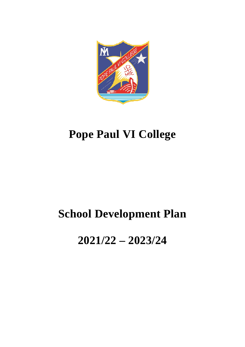

# **Pope Paul VI College**

## **School Development Plan**

## **2021/22 – 2023/24**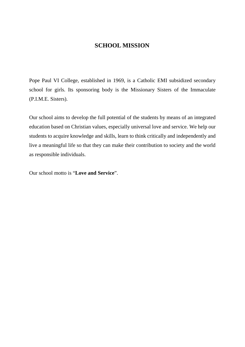#### **SCHOOL MISSION**

Pope Paul VI College, established in 1969, is a Catholic EMI subsidized secondary school for girls. Its sponsoring body is the Missionary Sisters of the Immaculate (P.I.M.E. Sisters).

Our school aims to develop the full potential of the students by means of an integrated education based on Christian values, especially universal love and service. We help our students to acquire knowledge and skills, learn to think critically and independently and live a meaningful life so that they can make their contribution to society and the world as responsible individuals.

Our school motto is "**Love and Service**".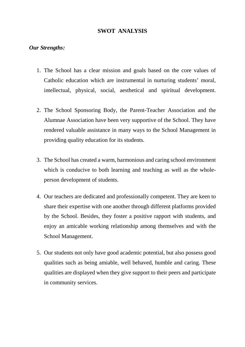#### **SWOT ANALYSIS**

#### *Our Strengths:*

- 1. The School has a clear mission and goals based on the core values of Catholic education which are instrumental in nurturing students' moral, intellectual, physical, social, aesthetical and spiritual development.
- 2. The School Sponsoring Body, the Parent-Teacher Association and the Alumnae Association have been very supportive of the School. They have rendered valuable assistance in many ways to the School Management in providing quality education for its students.
- 3. The School has created a warm, harmonious and caring school environment which is conducive to both learning and teaching as well as the wholeperson development of students.
- 4. Our teachers are dedicated and professionally competent. They are keen to share their expertise with one another through different platforms provided by the School. Besides, they foster a positive rapport with students, and enjoy an amicable working relationship among themselves and with the School Management.
- 5. Our students not only have good academic potential, but also possess good qualities such as being amiable, well behaved, humble and caring. These qualities are displayed when they give support to their peers and participate in community services.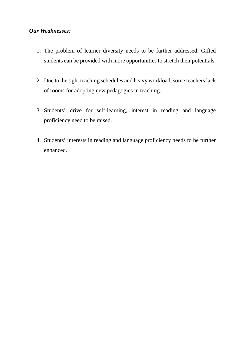#### *Our Weaknesses:*

- 1. The problem of learner diversity needs to be further addressed. Gifted students can be provided with more opportunities to stretch their potentials.
- 2. Due to the tight teaching schedules and heavy workload, some teachers lack of rooms for adopting new pedagogies in teaching.
- 3. Students' drive for self-learning, interest in reading and language proficiency need to be raised.
- 4. Students' interests in reading and language proficiency needs to be further enhanced.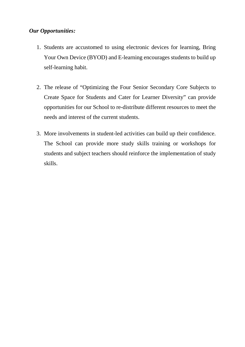#### *Our Opportunities:*

- 1. Students are accustomed to using electronic devices for learning, Bring Your Own Device (BYOD) and E-learning encourages students to build up self-learning habit.
- 2. The release of "Optimizing the Four Senior Secondary Core Subjects to Create Space for Students and Cater for Learner Diversity" can provide opportunities for our School to re-distribute different resources to meet the needs and interest of the current students.
- 3. More involvements in student-led activities can build up their confidence. The School can provide more study skills training or workshops for students and subject teachers should reinforce the implementation of study skills.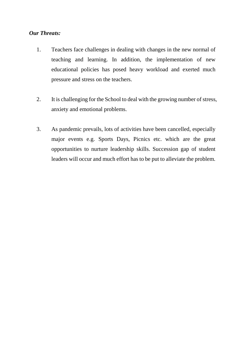#### *Our Threats:*

- 1. Teachers face challenges in dealing with changes in the new normal of teaching and learning. In addition, the implementation of new educational policies has posed heavy workload and exerted much pressure and stress on the teachers.
- 2. It is challenging for the School to deal with the growing number of stress, anxiety and emotional problems.
- 3. As pandemic prevails, lots of activities have been cancelled, especially major events e.g. Sports Days, Picnics etc. which are the great opportunities to nurture leadership skills. Succession gap of student leaders will occur and much effort has to be put to alleviate the problem.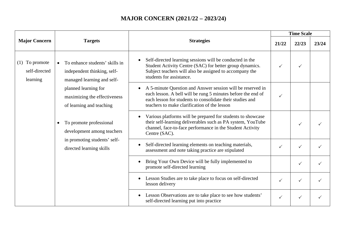### **MAJOR CONCERN (2021/22 – 2023/24)**

| <b>Major Concern</b>                          | <b>Targets</b>                                                                                                                                                                  | <b>Strategies</b>                                                                                                                                                                                                                       | <b>Time Scale</b> |              |       |
|-----------------------------------------------|---------------------------------------------------------------------------------------------------------------------------------------------------------------------------------|-----------------------------------------------------------------------------------------------------------------------------------------------------------------------------------------------------------------------------------------|-------------------|--------------|-------|
|                                               |                                                                                                                                                                                 |                                                                                                                                                                                                                                         | 21/22             | 22/23        | 23/24 |
| $(1)$ To promote<br>self-directed<br>learning | To enhance students' skills in<br>independent thinking, self-<br>managed learning and self-<br>planned learning for<br>maximizing the effectiveness<br>of learning and teaching | Self-directed learning sessions will be conducted in the<br>Student Activity Centre (SAC) for better group dynamics.<br>Subject teachers will also be assigned to accompany the<br>students for assistance.                             |                   | ✓            |       |
|                                               |                                                                                                                                                                                 | A 5-minute Question and Answer session will be reserved in<br>each lesson. A bell will be rung 5 minutes before the end of<br>each lesson for students to consolidate their studies and<br>teachers to make clarification of the lesson |                   |              |       |
|                                               | To promote professional<br>$\bullet$<br>development among teachers<br>in promoting students' self-<br>directed learning skills                                                  | Various platforms will be prepared for students to showcase<br>$\bullet$<br>their self-learning deliverables such as PA system, YouTube<br>channel, face-to-face performance in the Student Activity<br>Centre (SAC).                   |                   | ✓            |       |
|                                               |                                                                                                                                                                                 | Self-directed learning elements on teaching materials,<br>$\bullet$<br>assessment and note taking practice are stipulated                                                                                                               |                   | $\checkmark$ |       |
|                                               |                                                                                                                                                                                 | Bring Your Own Device will be fully implemented to<br>$\bullet$<br>promote self-directed learning                                                                                                                                       |                   | $\checkmark$ |       |
|                                               |                                                                                                                                                                                 | Lesson Studies are to take place to focus on self-directed<br>lesson delivery                                                                                                                                                           |                   | ✓            |       |
|                                               |                                                                                                                                                                                 | Lesson Observations are to take place to see how students'<br>$\bullet$<br>self-directed learning put into practice                                                                                                                     |                   | ✓            |       |